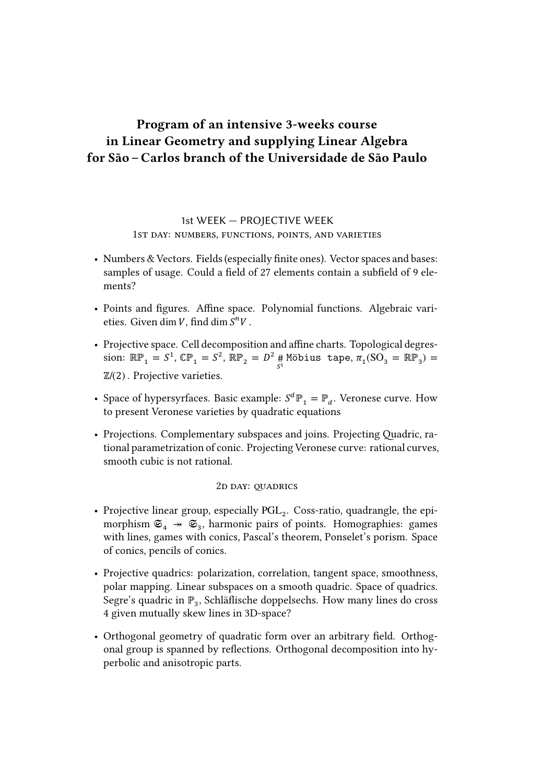# **Program of an intensive 3-weeks course in Linear Geometry and supplying Linear Algebra for São – Carlos branch of the Universidade de São Paulo**

## 1st WEEK — PROJECTIVE WEEK 1ST DAY: NUMBERS, FUNCTIONS, POINTS, AND VARIETIES

- Numbers & Vectors. Fields (especially finite ones). Vector spaces and bases: samples of usage. Could a field of 27 elements contain a subfield of 9 elements?
- Points and figures. Affine space. Polynomial functions. Algebraic varieties. Given dim  $V$ , find dim  $S^nV$ .
- Projective space. Cell decomposition and affine charts. Topological degression:  $\mathbb{RP}_1 = S^1$ ,  $\mathbb{CP}_1 = S^2$ ,  $\mathbb{RP}_2 = D^2$  # Möbius tape,  $\pi_1(SO_3 = \mathbb{RP}_3) =$ ℤ/(2) . Projective varieties.
- Space of hypersyrfaces. Basic example:  $S^d \mathbb{P}_1 = \mathbb{P}_d$ . Veronese curve. How to present Veronese varieties by quadratic equations
- Projections. Complementary subspaces and joins. Projecting Quadric, rational parametrization of conic. Projecting Veronese curve: rational curves, smooth cubic is not rational.

#### 2D DAY: OUADRICS

- Projective linear group, especially  $PGL_2$ . Coss-ratio, quadrangle, the epimorphism  $\mathfrak{S}_4 \twoheadrightarrow \mathfrak{S}_3$ , harmonic pairs of points. Homographies: games with lines, games with conics, Pascal's theorem, Ponselet's porism. Space of conics, pencils of conics.
- Projective quadrics: polarization, correlation, tangent space, smoothness, polar mapping. Linear subspaces on a smooth quadric. Space of quadrics. Segre's quadric in  $\mathbb{P}_3$ , Schläflische doppelsechs. How many lines do cross 4 given mutually skew lines in 3D-space?
- Orthogonal geometry of quadratic form over an arbitrary field. Orthogonal group is spanned by reflections. Orthogonal decomposition into hyperbolic and anisotropic parts.